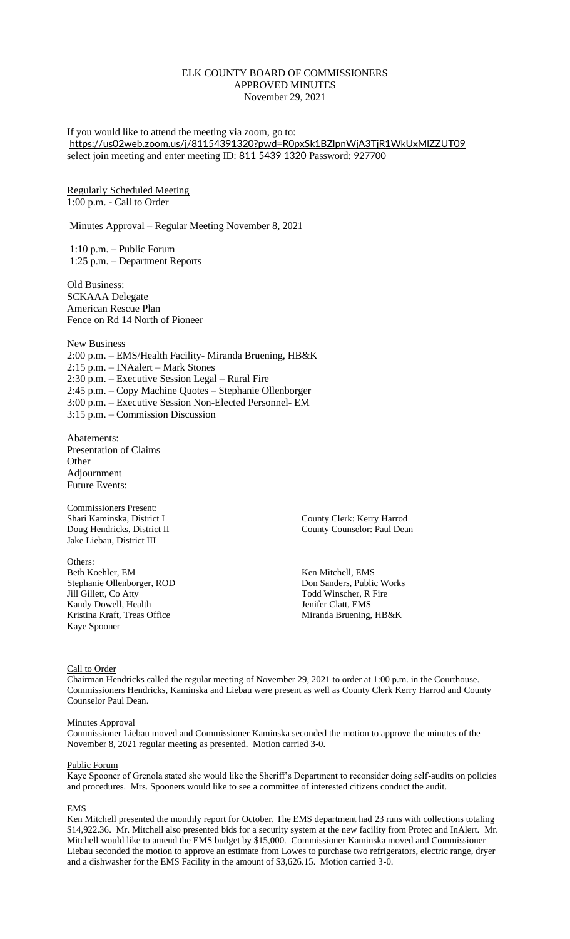# ELK COUNTY BOARD OF COMMISSIONERS APPROVED MINUTES November 29, 2021

If you would like to attend the meeting via zoom, go to: <https://us02web.zoom.us/j/81154391320?pwd=R0pxSk1BZlpnWjA3TjR1WkUxMlZZUT09> select join meeting and enter meeting ID: 811 5439 1320 Password: 927700

### Regularly Scheduled Meeting 1:00 p.m. - Call to Order

Minutes Approval – Regular Meeting November 8, 2021

1:10 p.m. – Public Forum 1:25 p.m. – Department Reports

Old Business: SCKAAA Delegate American Rescue Plan Fence on Rd 14 North of Pioneer

New Business 2:00 p.m. – EMS/Health Facility- Miranda Bruening, HB&K 2:15 p.m. – INAalert – Mark Stones 2:30 p.m. – Executive Session Legal – Rural Fire 2:45 p.m. – Copy Machine Quotes – Stephanie Ollenborger 3:00 p.m. – Executive Session Non-Elected Personnel- EM 3:15 p.m. – Commission Discussion

Abatements: Presentation of Claims **Other** Adjournment Future Events:

Commissioners Present: Shari Kaminska, District I County Clerk: Kerry Harrod Jake Liebau, District III

Others: Beth Koehler, EM Ken Mitchell, EMS<br>
Stephanie Ollenborger. ROD Sanders. Public Works Stephanie Ollenborger, ROD Jill Gillett, Co Atty Todd Winscher, R Fire Kandy Dowell, Health Jenifer Clatt, EMS Kristina Kraft, Treas Office Miranda Bruening, HB&K Kaye Spooner

Doug Hendricks, District II County County Counselor: Paul Dean

#### Call to Order

Chairman Hendricks called the regular meeting of November 29, 2021 to order at 1:00 p.m. in the Courthouse. Commissioners Hendricks, Kaminska and Liebau were present as well as County Clerk Kerry Harrod and County Counselor Paul Dean.

#### Minutes Approval

Commissioner Liebau moved and Commissioner Kaminska seconded the motion to approve the minutes of the November 8, 2021 regular meeting as presented. Motion carried 3-0.

#### Public Forum

Kaye Spooner of Grenola stated she would like the Sheriff's Department to reconsider doing self-audits on policies and procedures. Mrs. Spooners would like to see a committee of interested citizens conduct the audit.

### EMS

Ken Mitchell presented the monthly report for October. The EMS department had 23 runs with collections totaling \$14,922.36. Mr. Mitchell also presented bids for a security system at the new facility from Protec and InAlert. Mr. Mitchell would like to amend the EMS budget by \$15,000. Commissioner Kaminska moved and Commissioner Liebau seconded the motion to approve an estimate from Lowes to purchase two refrigerators, electric range, dryer and a dishwasher for the EMS Facility in the amount of \$3,626.15. Motion carried 3-0.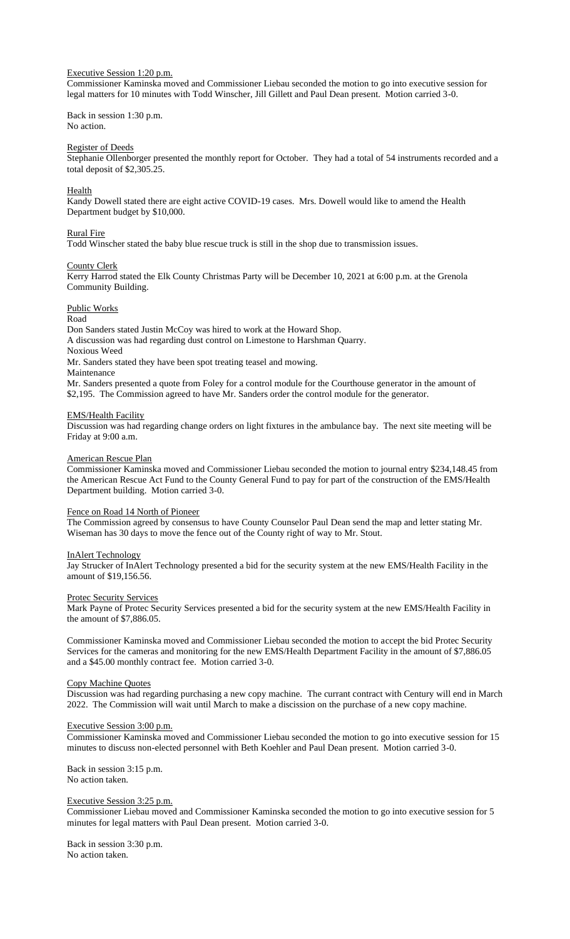# Executive Session 1:20 p.m.

Commissioner Kaminska moved and Commissioner Liebau seconded the motion to go into executive session for legal matters for 10 minutes with Todd Winscher, Jill Gillett and Paul Dean present. Motion carried 3-0.

Back in session 1:30 p.m. No action.

## Register of Deeds

Stephanie Ollenborger presented the monthly report for October. They had a total of 54 instruments recorded and a total deposit of \$2,305.25.

### Health

Kandy Dowell stated there are eight active COVID-19 cases. Mrs. Dowell would like to amend the Health Department budget by \$10,000.

## Rural Fire

Todd Winscher stated the baby blue rescue truck is still in the shop due to transmission issues.

#### County Clerk

Kerry Harrod stated the Elk County Christmas Party will be December 10, 2021 at 6:00 p.m. at the Grenola Community Building.

### Public Works

Road

Don Sanders stated Justin McCoy was hired to work at the Howard Shop. A discussion was had regarding dust control on Limestone to Harshman Quarry. Noxious Weed

Mr. Sanders stated they have been spot treating teasel and mowing.

Maintenance

Mr. Sanders presented a quote from Foley for a control module for the Courthouse generator in the amount of \$2,195. The Commission agreed to have Mr. Sanders order the control module for the generator.

# EMS/Health Facility

Discussion was had regarding change orders on light fixtures in the ambulance bay. The next site meeting will be Friday at 9:00 a.m.

### American Rescue Plan

Commissioner Kaminska moved and Commissioner Liebau seconded the motion to journal entry \$234,148.45 from the American Rescue Act Fund to the County General Fund to pay for part of the construction of the EMS/Health Department building. Motion carried 3-0.

### Fence on Road 14 North of Pioneer

The Commission agreed by consensus to have County Counselor Paul Dean send the map and letter stating Mr. Wiseman has 30 days to move the fence out of the County right of way to Mr. Stout.

#### InAlert Technology

Jay Strucker of InAlert Technology presented a bid for the security system at the new EMS/Health Facility in the amount of \$19,156.56.

#### Protec Security Services

Mark Payne of Protec Security Services presented a bid for the security system at the new EMS/Health Facility in the amount of \$7,886.05.

Commissioner Kaminska moved and Commissioner Liebau seconded the motion to accept the bid Protec Security Services for the cameras and monitoring for the new EMS/Health Department Facility in the amount of \$7,886.05 and a \$45.00 monthly contract fee. Motion carried 3-0.

### Copy Machine Quotes

Discussion was had regarding purchasing a new copy machine. The currant contract with Century will end in March 2022. The Commission will wait until March to make a discission on the purchase of a new copy machine.

#### Executive Session 3:00 p.m.

Commissioner Kaminska moved and Commissioner Liebau seconded the motion to go into executive session for 15 minutes to discuss non-elected personnel with Beth Koehler and Paul Dean present. Motion carried 3-0.

Back in session 3:15 p.m. No action taken.

# Executive Session 3:25 p.m.

Commissioner Liebau moved and Commissioner Kaminska seconded the motion to go into executive session for 5 minutes for legal matters with Paul Dean present. Motion carried 3-0.

Back in session 3:30 p.m. No action taken.